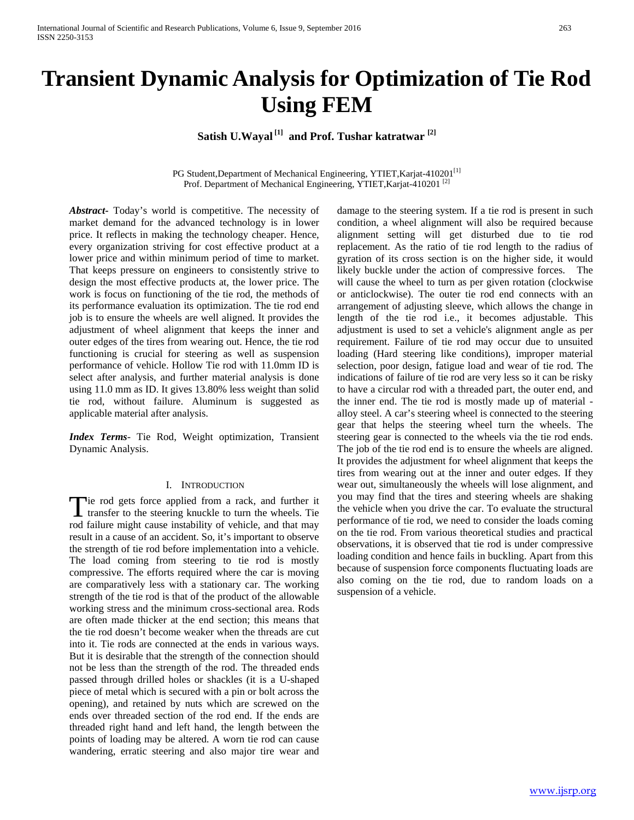# **Transient Dynamic Analysis for Optimization of Tie Rod Using FEM**

**Satish U.Wayal [1] and Prof. Tushar katratwar [2]**

PG Student, Department of Mechanical Engineering, YTIET, Karjat-410201<sup>[1]</sup> Prof. Department of Mechanical Engineering, YTIET, Karjat-410201<sup>[2]</sup>

*Abstract***-** Today's world is competitive. The necessity of market demand for the advanced technology is in lower price. It reflects in making the technology cheaper. Hence, every organization striving for cost effective product at a lower price and within minimum period of time to market. That keeps pressure on engineers to consistently strive to design the most effective products at, the lower price. The work is focus on functioning of the tie rod, the methods of its performance evaluation its optimization. The tie rod end job is to ensure the wheels are well aligned. It provides the adjustment of wheel alignment that keeps the inner and outer edges of the tires from wearing out. Hence, the tie rod functioning is crucial for steering as well as suspension performance of vehicle. Hollow Tie rod with 11.0mm ID is select after analysis, and further material analysis is done using 11.0 mm as ID. It gives 13.80% less weight than solid tie rod, without failure. Aluminum is suggested as applicable material after analysis.

*Index Terms*- Tie Rod, Weight optimization, Transient Dynamic Analysis.

#### I. INTRODUCTION

Tie rod gets force applied from a rack, and further it Tie rod gets force applied from a rack, and further it transfer to the steering knuckle to turn the wheels. Tie rod failure might cause instability of vehicle, and that may result in a cause of an accident. So, it's important to observe the strength of tie rod before implementation into a vehicle. The load coming from steering to tie rod is mostly compressive. The efforts required where the car is moving are comparatively less with a stationary car. The working strength of the tie rod is that of the product of the allowable working stress and the minimum cross-sectional area. Rods are often made thicker at the end section; this means that the tie rod doesn't become weaker when the threads are cut into it. Tie rods are connected at the ends in various ways. But it is desirable that the strength of the connection should not be less than the strength of the rod. The threaded ends passed through drilled holes or shackles (it is a U-shaped piece of metal which is secured with a pin or bolt across the opening), and retained by nuts which are screwed on the ends over threaded section of the rod end. If the ends are threaded right hand and left hand, the length between the points of loading may be altered. A worn tie rod can cause wandering, erratic steering and also major tire wear and

damage to the steering system. If a tie rod is present in such condition, a wheel alignment will also be required because alignment setting will get disturbed due to tie rod replacement. As the ratio of tie rod length to the radius of gyration of its cross section is on the higher side, it would likely buckle under the action of compressive forces. The will cause the wheel to turn as per given rotation (clockwise or anticlockwise). The outer tie rod end connects with an arrangement of adjusting sleeve, which allows the change in length of the tie rod i.e., it becomes adjustable. This adjustment is used to set a vehicle's alignment angle as per requirement. Failure of tie rod may occur due to unsuited loading (Hard steering like conditions), improper material selection, poor design, fatigue load and wear of tie rod. The indications of failure of tie rod are very less so it can be risky to have a circular rod with a threaded part, the outer end, and the inner end. The tie rod is mostly made up of material alloy steel. A car's steering wheel is connected to the steering gear that helps the steering wheel turn the wheels. The steering gear is connected to the wheels via the tie rod ends. The job of the tie rod end is to ensure the wheels are aligned. It provides the adjustment for wheel alignment that keeps the tires from wearing out at the inner and outer edges. If they wear out, simultaneously the wheels will lose alignment, and you may find that the tires and steering wheels are shaking the vehicle when you drive the car. To evaluate the structural performance of tie rod, we need to consider the loads coming on the tie rod. From various theoretical studies and practical observations, it is observed that tie rod is under compressive loading condition and hence fails in buckling. Apart from this because of suspension force components fluctuating loads are also coming on the tie rod, due to random loads on a suspension of a vehicle.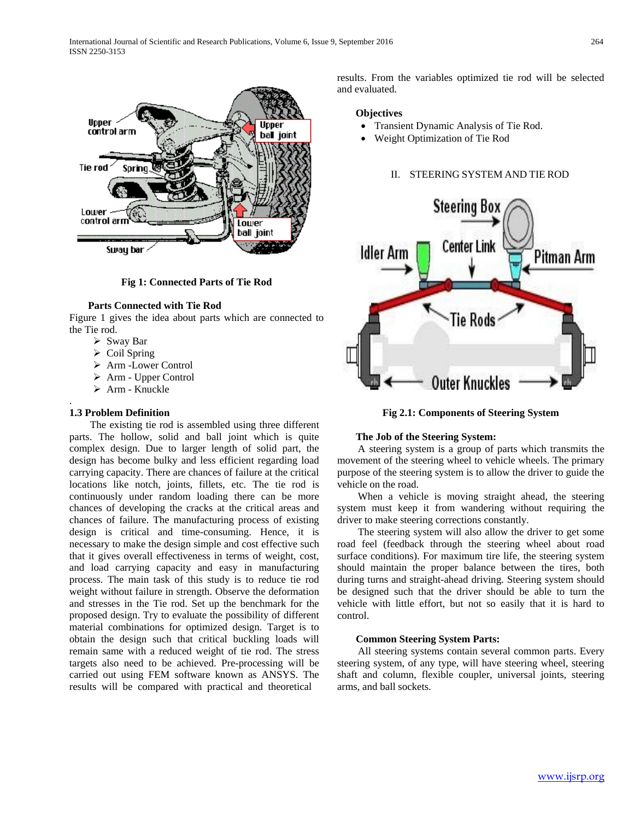

**Fig 1: Connected Parts of Tie Rod**

## **Parts Connected with Tie Rod**

Figure 1 gives the idea about parts which are connected to the Tie rod.

- $\triangleright$  Sway Bar
- $\triangleright$  Coil Spring
- Arm -Lower Control
- Arm Upper Control
- $\triangleright$  Arm Knuckle

## **1.3 Problem Definition**

.

 The existing tie rod is assembled using three different parts. The hollow, solid and ball joint which is quite complex design. Due to larger length of solid part, the design has become bulky and less efficient regarding load carrying capacity. There are chances of failure at the critical locations like notch, joints, fillets, etc. The tie rod is continuously under random loading there can be more chances of developing the cracks at the critical areas and chances of failure. The manufacturing process of existing design is critical and time-consuming. Hence, it is necessary to make the design simple and cost effective such that it gives overall effectiveness in terms of weight, cost, and load carrying capacity and easy in manufacturing process. The main task of this study is to reduce tie rod weight without failure in strength. Observe the deformation and stresses in the Tie rod. Set up the benchmark for the proposed design. Try to evaluate the possibility of different material combinations for optimized design. Target is to obtain the design such that critical buckling loads will remain same with a reduced weight of tie rod. The stress targets also need to be achieved. Pre-processing will be carried out using FEM software known as ANSYS. The results will be compared with practical and theoretical

results. From the variables optimized tie rod will be selected and evaluated.

# **Objectives**

- Transient Dynamic Analysis of Tie Rod.
- Weight Optimization of Tie Rod

## II. STEERING SYSTEM AND TIE ROD



**Fig 2.1: Components of Steering System**

### **The Job of the Steering System:**

 A steering system is a group of parts which transmits the movement of the steering wheel to vehicle wheels. The primary purpose of the steering system is to allow the driver to guide the vehicle on the road.

 When a vehicle is moving straight ahead, the steering system must keep it from wandering without requiring the driver to make steering corrections constantly.

 The steering system will also allow the driver to get some road feel (feedback through the steering wheel about road surface conditions). For maximum tire life, the steering system should maintain the proper balance between the tires, both during turns and straight-ahead driving. Steering system should be designed such that the driver should be able to turn the vehicle with little effort, but not so easily that it is hard to control.

#### **Common Steering System Parts:**

 All steering systems contain several common parts. Every steering system, of any type, will have steering wheel, steering shaft and column, flexible coupler, universal joints, steering arms, and ball sockets.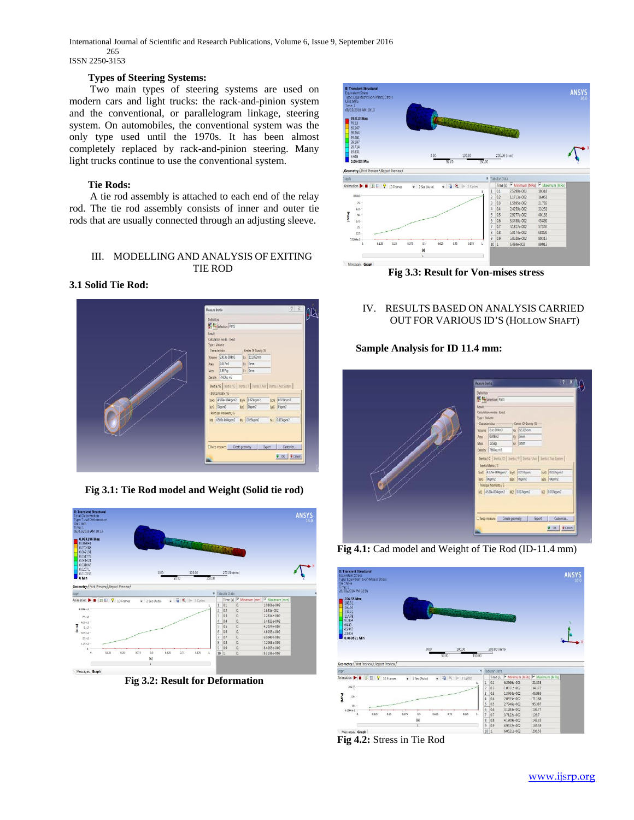International Journal of Scientific and Research Publications, Volume 6, Issue 9, September 2016 265

ISSN 2250-3153

# **Types of Steering Systems:**

 Two main types of steering systems are used on modern cars and light trucks: the rack-and-pinion system and the conventional, or parallelogram linkage, steering system. On automobiles, the conventional system was the only type used until the 1970s. It has been almost completely replaced by rack-and-pinion steering. Many light trucks continue to use the conventional system.

# **Tie Rods:**

 A tie rod assembly is attached to each end of the relay rod. The tie rod assembly consists of inner and outer tie rods that are usually connected through an adjusting sleeve.

# III. MODELLING AND ANALYSIS OF EXITING TIE ROD

# **3.1 Solid Tie Rod:**



**Fig 3.1: Tie Rod model and Weight (Solid tie rod)**



**Fig 3.2: Result for Deformation**



**Fig 3.3: Result for Von-mises stress**

# IV. RESULTS BASED ON ANALYSIS CARRIED OUT FOR VARIOUS ID'S (HOLLOW SHAFT)

# **Sample Analysis for ID 11.4 mm:**



**Fig 4.1:** Cad model and Weight of Tie Rod (ID-11.4 mm)





## [www.ijsrp.org](http://ijsrp.org/)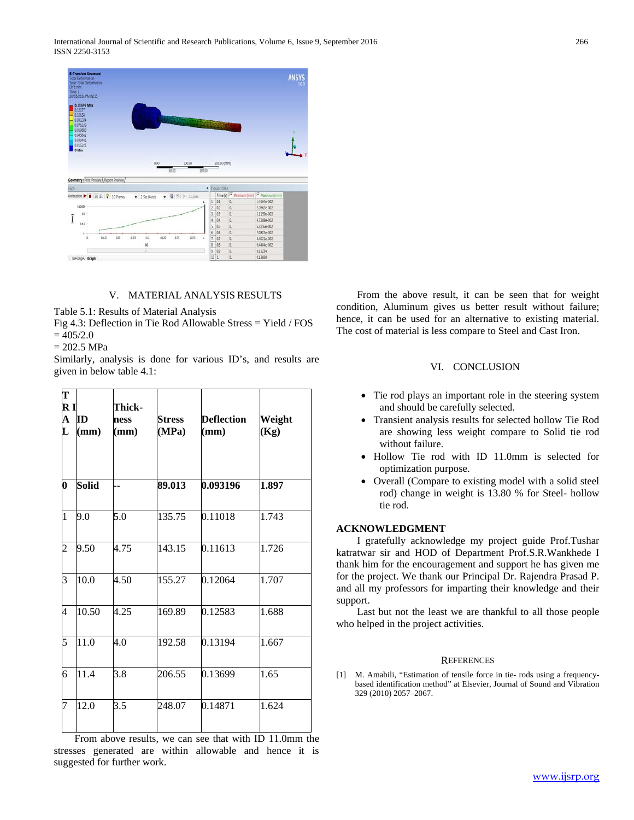

# V. MATERIAL ANALYSIS RESULTS

Table 5.1: Results of Material Analysis

Fig 4.3: Deflection in Tie Rod Allowable Stress = Yield / FOS  $= 405/2.0$ 

 $= 202.5 \text{ MPa}$ 

Similarly, analysis is done for various ID's, and results are given in below table 4.1:

| T<br>R I<br>$\mathbf A$<br>$\mathbf L$ | ĪD<br>(mm)   | Thick-<br>ness<br>$(\mathbf{mm})$ | <b>Stress</b><br>(MPa) | <b>Deflection</b><br>(mm)               | Weight<br>(Kg) |
|----------------------------------------|--------------|-----------------------------------|------------------------|-----------------------------------------|----------------|
| $\boldsymbol{0}$                       | <b>Solid</b> |                                   | 89.013                 | 0.093196                                | 1.897          |
| $\overline{1}$                         | 9.0          | 5.0                               | 135.75                 | 0.11018                                 | 1.743          |
| $\overline{c}$                         | 9.50         | 4.75                              | 143.15                 | 0.11613                                 | 1.726          |
| 3                                      | 10.0         | 4.50                              | 155.27                 | 0.12064                                 | 1.707          |
| 4                                      | 10.50        | 4.25                              | 169.89                 | 0.12583                                 | 1.688          |
| 5                                      | 11.0         | 4.0                               | 192.58                 | 0.13194                                 | 1.667          |
| 6                                      | 11.4         | 3.8                               | 206.55                 | 0.13699                                 | 1.65           |
| 7                                      | 12.0         | 3.5                               | 248.07                 | 0.14871<br>$41.44 \dots 41.$ ID $11.0.$ | 1.624          |

 From above results, we can see that with ID 11.0mm the stresses generated are within allowable and hence it is suggested for further work.

 From the above result, it can be seen that for weight condition, Aluminum gives us better result without failure; hence, it can be used for an alternative to existing material. The cost of material is less compare to Steel and Cast Iron.

#### VI. CONCLUSION

- Tie rod plays an important role in the steering system and should be carefully selected.
- Transient analysis results for selected hollow Tie Rod are showing less weight compare to Solid tie rod without failure.
- Hollow Tie rod with ID 11.0mm is selected for optimization purpose.
- Overall (Compare to existing model with a solid steel rod) change in weight is 13.80 % for Steel- hollow tie rod.

## **ACKNOWLEDGMENT**

 I gratefully acknowledge my project guide Prof.Tushar katratwar sir and HOD of Department Prof.S.R.Wankhede I thank him for the encouragement and support he has given me for the project. We thank our Principal Dr. Rajendra Prasad P. and all my professors for imparting their knowledge and their support.

 Last but not the least we are thankful to all those people who helped in the project activities.

#### **REFERENCES**

[1] M. Amabili, "Estimation of tensile force in tie- rods using a frequencybased identification method" at Elsevier, Journal of Sound and Vibration 329 (2010) 2057–2067.